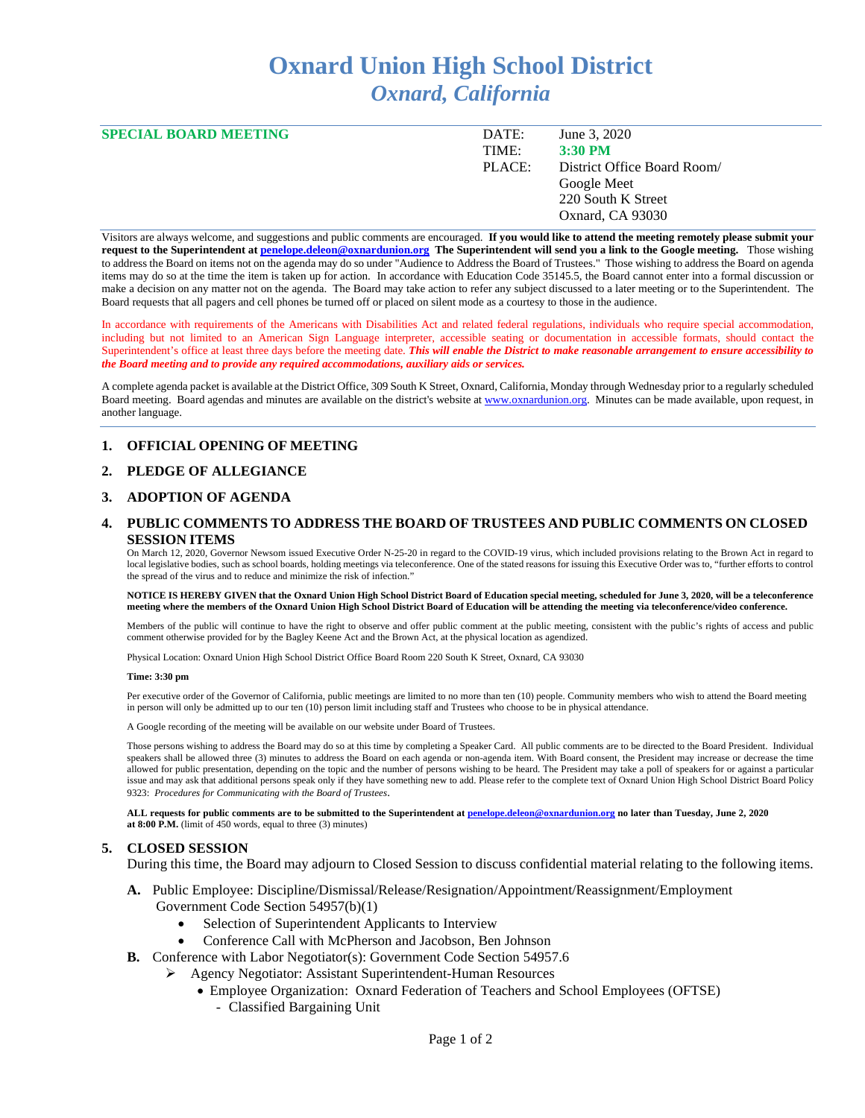# **Oxnard Union High School District** *Oxnard, California*

| <b>SPECIAL BOARD MEETING</b> | DATE:  | June 3, 2020                |
|------------------------------|--------|-----------------------------|
|                              | TIME:  | $3:30$ PM                   |
|                              | PLACE: | District Office Board Room/ |
|                              |        | Google Meet                 |
|                              |        | 220 South K Street          |
|                              |        | Oxnard, CA 93030            |
|                              |        |                             |

Visitors are always welcome, and suggestions and public comments are encouraged. **If you would like to attend the meeting remotely please submit your request to the Superintendent a[t penelope.deleon@oxnardunion.org](mailto:penelope.deleon@oxnardunion.org) The Superintendent will send you a link to the Google meeting.** Those wishing to address the Board on items not on the agenda may do so under "Audience to Address the Board of Trustees." Those wishing to address the Board on agenda items may do so at the time the item is taken up for action. In accordance with Education Code 35145.5, the Board cannot enter into a formal discussion or make a decision on any matter not on the agenda. The Board may take action to refer any subject discussed to a later meeting or to the Superintendent. The Board requests that all pagers and cell phones be turned off or placed on silent mode as a courtesy to those in the audience.

In accordance with requirements of the Americans with Disabilities Act and related federal regulations, individuals who require special accommodation, including but not limited to an American Sign Language interpreter, accessible seating or documentation in accessible formats, should contact the Superintendent's office at least three days before the meeting date. *This will enable the District to make reasonable arrangement to ensure accessibility to the Board meeting and to provide any required accommodations, auxiliary aids or services.* 

A complete agenda packet is available at the District Office, 309 South K Street, Oxnard, California, Monday through Wednesday prior to a regularly scheduled Board meeting. Board agendas and minutes are available on the district's website a[t www.oxnardunion.org.](http://www.oxnardunion.org/)Minutes can be made available, upon request, in another language.

#### **1. OFFICIAL OPENING OF MEETING**

#### **2. PLEDGE OF ALLEGIANCE**

### **3. ADOPTION OF AGENDA**

### **4. PUBLIC COMMENTS TO ADDRESS THE BOARD OF TRUSTEES AND PUBLIC COMMENTS ON CLOSED SESSION ITEMS**

On March 12, 2020, Governor Newsom issued Executive Order N-25-20 in regard to the COVID-19 virus, which included provisions relating to the Brown Act in regard to local legislative bodies, such as school boards, holding meetings via teleconference. One of the stated reasons for issuing this Executive Order was to, "further efforts to control the spread of the virus and to reduce and minimize the risk of infection."

#### **NOTICE IS HEREBY GIVEN that the Oxnard Union High School District Board of Education special meeting, scheduled for June 3, 2020, will be a teleconference meeting where the members of the Oxnard Union High School District Board of Education will be attending the meeting via teleconference/video conference.**

Members of the public will continue to have the right to observe and offer public comment at the public meeting, consistent with the public's rights of access and public comment otherwise provided for by the Bagley Keene Act and the Brown Act, at the physical location as agendized.

Physical Location: Oxnard Union High School District Office Board Room 220 South K Street, Oxnard, CA 93030

#### **Time: 3:30 pm**

Per executive order of the Governor of California, public meetings are limited to no more than ten (10) people. Community members who wish to attend the Board meeting in person will only be admitted up to our ten (10) person limit including staff and Trustees who choose to be in physical attendance.

A Google recording of the meeting will be available on our website under Board of Trustees.

Those persons wishing to address the Board may do so at this time by completing a Speaker Card. All public comments are to be directed to the Board President. Individual speakers shall be allowed three (3) minutes to address the Board on each agenda or non-agenda item. With Board consent, the President may increase or decrease the time allowed for public presentation, depending on the topic and the number of persons wishing to be heard. The President may take a poll of speakers for or against a particular issue and may ask that additional persons speak only if they have something new to add. Please refer to the complete text of Oxnard Union High School District Board Policy 9323: *Procedures for Communicating with the Board of Trustees*.

**ALL requests for public comments are to be submitted to the Superintendent a[t penelope.deleon@oxnardunion.org](mailto:penelope.deleon@oxnardunion.org.%20no) no later than Tuesday, June 2, 2020 at 8:00 P.M.** (limit of 450 words, equal to three (3) minutes)

#### **5. CLOSED SESSION**

During this time, the Board may adjourn to Closed Session to discuss confidential material relating to the following items.

#### **A.** Public Employee: Discipline/Dismissal/Release/Resignation/Appointment/Reassignment/Employment Government Code Section 54957(b)(1)

- Selection of Superintendent Applicants to Interview
- Conference Call with McPherson and Jacobson, Ben Johnson
- **B.** Conference with Labor Negotiator(s): Government Code Section 54957.6
	- Agency Negotiator: Assistant Superintendent-Human Resources
		- Employee Organization: Oxnard Federation of Teachers and School Employees (OFTSE)
			- Classified Bargaining Unit